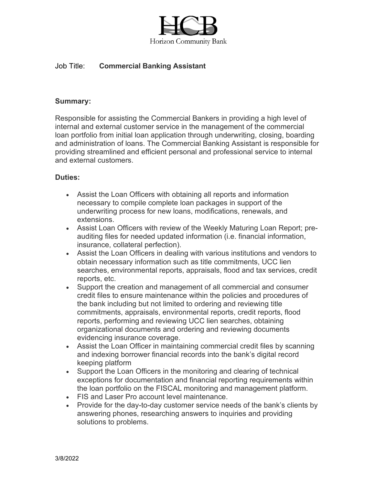

# Job Title: **Commercial Banking Assistant**

### **Summary:**

Responsible for assisting the Commercial Bankers in providing a high level of internal and external customer service in the management of the commercial loan portfolio from initial loan application through underwriting, closing, boarding and administration of loans. The Commercial Banking Assistant is responsible for providing streamlined and efficient personal and professional service to internal and external customers.

#### **Duties:**

- Assist the Loan Officers with obtaining all reports and information necessary to compile complete loan packages in support of the underwriting process for new loans, modifications, renewals, and extensions.
- Assist Loan Officers with review of the Weekly Maturing Loan Report; preauditing files for needed updated information (i.e. financial information, insurance, collateral perfection).
- Assist the Loan Officers in dealing with various institutions and vendors to obtain necessary information such as title commitments, UCC lien searches, environmental reports, appraisals, flood and tax services, credit reports, etc.
- Support the creation and management of all commercial and consumer credit files to ensure maintenance within the policies and procedures of the bank including but not limited to ordering and reviewing title commitments, appraisals, environmental reports, credit reports, flood reports, performing and reviewing UCC lien searches, obtaining organizational documents and ordering and reviewing documents evidencing insurance coverage.
- Assist the Loan Officer in maintaining commercial credit files by scanning and indexing borrower financial records into the bank's digital record keeping platform
- Support the Loan Officers in the monitoring and clearing of technical exceptions for documentation and financial reporting requirements within the loan portfolio on the FISCAL monitoring and management platform.
- FIS and Laser Pro account level maintenance.
- Provide for the day-to-day customer service needs of the bank's clients by answering phones, researching answers to inquiries and providing solutions to problems.